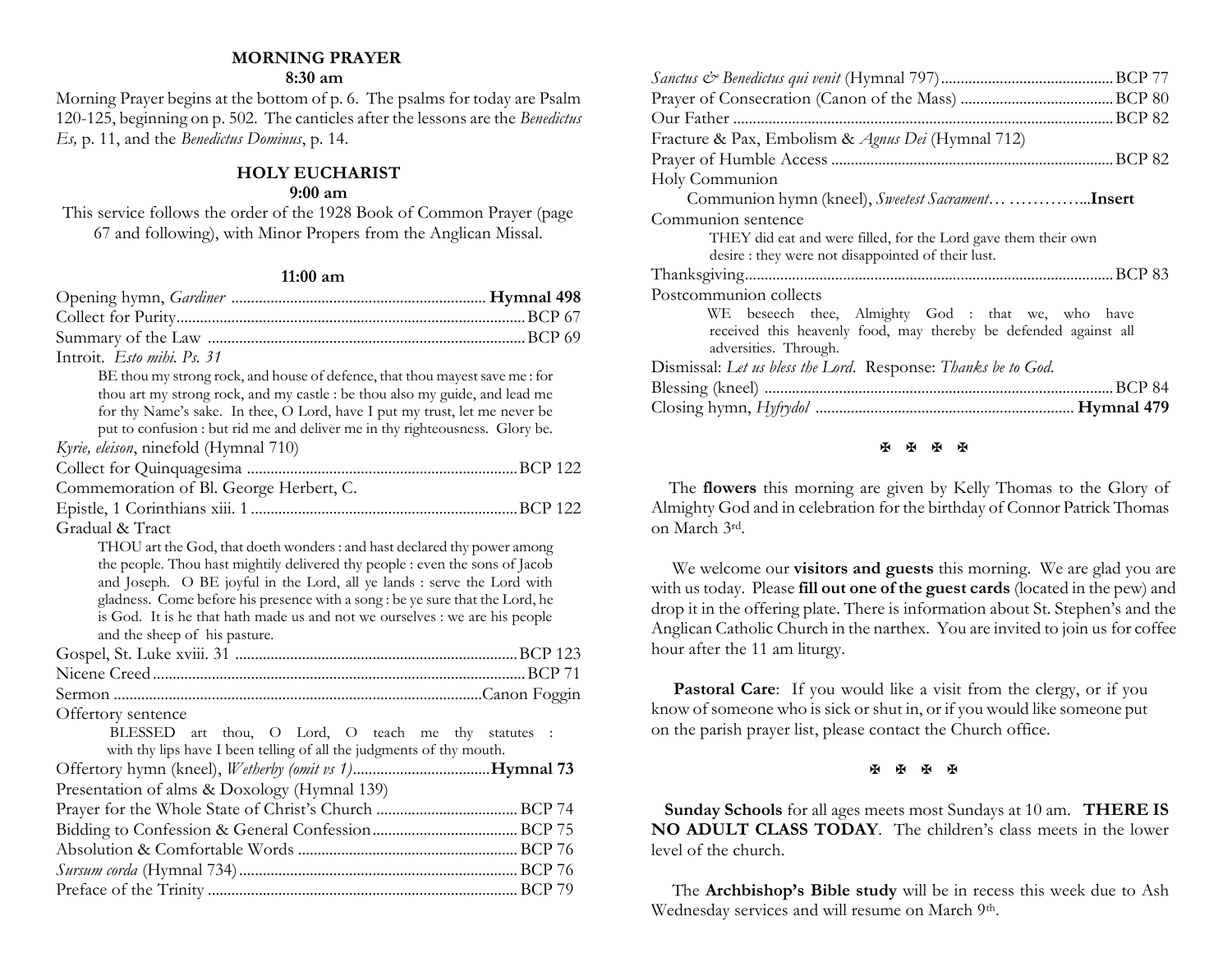#### **MORNING PRAYER**

#### **8:30 am**

Morning Prayer begins at the bottom of p. 6. The psalms for today are Psalm 120-125, beginning on p. 502. The canticles after the lessons are the *Benedictus Es,* p. 11, and the *Benedictus Dominus*, p. 14.

# **HOLY EUCHARIST**

### **9:00 am**

This service follows the order of the 1928 Book of Common Prayer (page 67 and following), with Minor Propers from the Anglican Missal.

#### **11:00 am**

| Introit. Esto mihi. Ps. 31                                                                                                                                   |  |
|--------------------------------------------------------------------------------------------------------------------------------------------------------------|--|
| BE thou my strong rock, and house of defence, that thou mayest save me : for                                                                                 |  |
| thou art my strong rock, and my castle : be thou also my guide, and lead me                                                                                  |  |
| for thy Name's sake. In thee, O Lord, have I put my trust, let me never be                                                                                   |  |
| put to confusion : but rid me and deliver me in thy righteousness. Glory be.                                                                                 |  |
| Kyrie, eleison, ninefold (Hymnal 710)                                                                                                                        |  |
|                                                                                                                                                              |  |
| Commemoration of Bl. George Herbert, C.                                                                                                                      |  |
|                                                                                                                                                              |  |
| Gradual & Tract                                                                                                                                              |  |
| THOU art the God, that doeth wonders: and hast declared thy power among                                                                                      |  |
| the people. Thou hast mightily delivered thy people : even the sons of Jacob                                                                                 |  |
| and Joseph. O BE joyful in the Lord, all ye lands : serve the Lord with                                                                                      |  |
| gladness. Come before his presence with a song : be ye sure that the Lord, he<br>is God. It is he that hath made us and not we ourselves : we are his people |  |
| and the sheep of his pasture.                                                                                                                                |  |
|                                                                                                                                                              |  |
|                                                                                                                                                              |  |
|                                                                                                                                                              |  |
| Offertory sentence                                                                                                                                           |  |
| BLESSED art thou, O Lord, O teach me thy statutes :                                                                                                          |  |
| with thy lips have I been telling of all the judgments of thy mouth.                                                                                         |  |
|                                                                                                                                                              |  |
| Presentation of alms & Doxology (Hymnal 139)                                                                                                                 |  |
|                                                                                                                                                              |  |
|                                                                                                                                                              |  |
|                                                                                                                                                              |  |
|                                                                                                                                                              |  |
|                                                                                                                                                              |  |
|                                                                                                                                                              |  |

| Fracture & Pax, Embolism & Agnus Dei (Hymnal 712)                                                                                              |
|------------------------------------------------------------------------------------------------------------------------------------------------|
|                                                                                                                                                |
| Holy Communion                                                                                                                                 |
|                                                                                                                                                |
| Communion sentence                                                                                                                             |
| THEY did eat and were filled, for the Lord gave them their own                                                                                 |
| desire: they were not disappointed of their lust.                                                                                              |
|                                                                                                                                                |
| Postcommunion collects                                                                                                                         |
| WE beseech thee, Almighty God : that we, who have<br>received this heavenly food, may thereby be defended against all<br>adversities. Through. |
| Dismissal: Let us bless the Lord. Response: Thanks be to God.                                                                                  |
|                                                                                                                                                |
|                                                                                                                                                |

#### **H H H H**

 The **flowers** this morning are given by Kelly Thomas to the Glory of Almighty God and in celebration for the birthday of Connor Patrick Thomas on March 3rd.

We welcome our **visitors and guests** this morning. We are glad you are with us today. Please **fill out one of the guest cards** (located in the pew) and drop it in the offering plate. There is information about St. Stephen's and the Anglican Catholic Church in the narthex. You are invited to join us for coffee hour after the 11 am liturgy.

Pastoral Care: If you would like a visit from the clergy, or if you know of someone who is sick or shut in, or if you would like someone put on the parish prayer list, please contact the Church office.

医困困困

 **Sunday Schools** for all ages meets most Sundays at 10 am. **THERE IS NO ADULT CLASS TODAY**. The children's class meets in the lower level of the church.

The **Archbishop's Bible study** will be in recess this week due to Ash Wednesday services and will resume on March 9th.